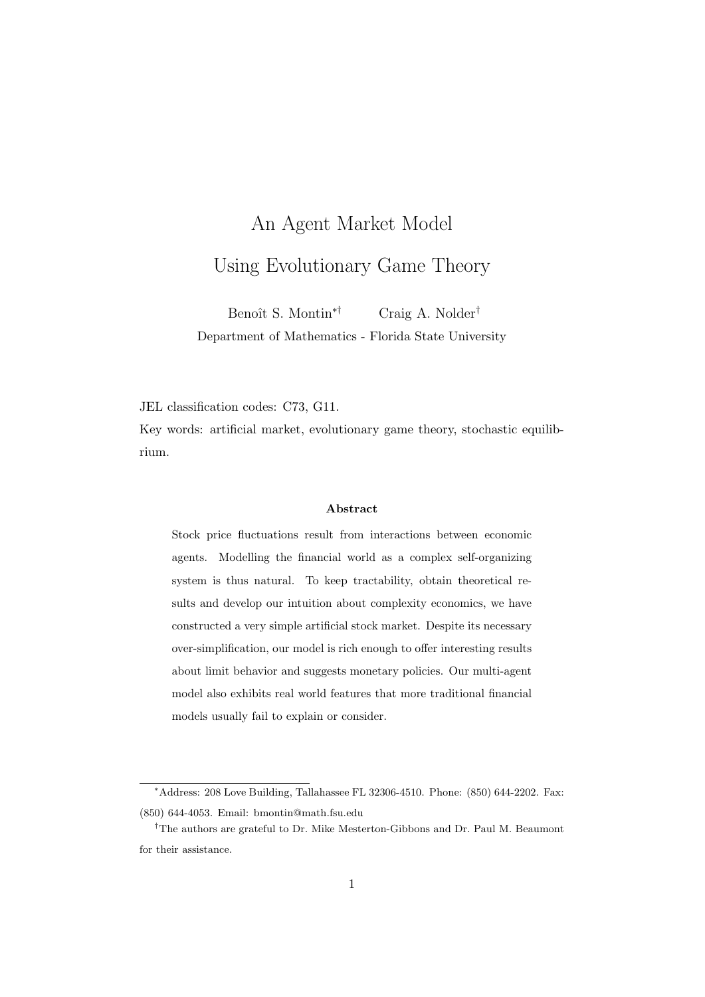# An Agent Market Model Using Evolutionary Game Theory

Benoît S. Montin<sup>\*†</sup> Craig A. Nolder<sup>†</sup> Department of Mathematics - Florida State University

JEL classification codes: C73, G11.

Key words: artificial market, evolutionary game theory, stochastic equilibrium.

#### Abstract

Stock price fluctuations result from interactions between economic agents. Modelling the financial world as a complex self-organizing system is thus natural. To keep tractability, obtain theoretical results and develop our intuition about complexity economics, we have constructed a very simple artificial stock market. Despite its necessary over-simplification, our model is rich enough to offer interesting results about limit behavior and suggests monetary policies. Our multi-agent model also exhibits real world features that more traditional financial models usually fail to explain or consider.

<sup>∗</sup>Address: 208 Love Building, Tallahassee FL 32306-4510. Phone: (850) 644-2202. Fax: (850) 644-4053. Email: bmontin@math.fsu.edu

<sup>†</sup>The authors are grateful to Dr. Mike Mesterton-Gibbons and Dr. Paul M. Beaumont for their assistance.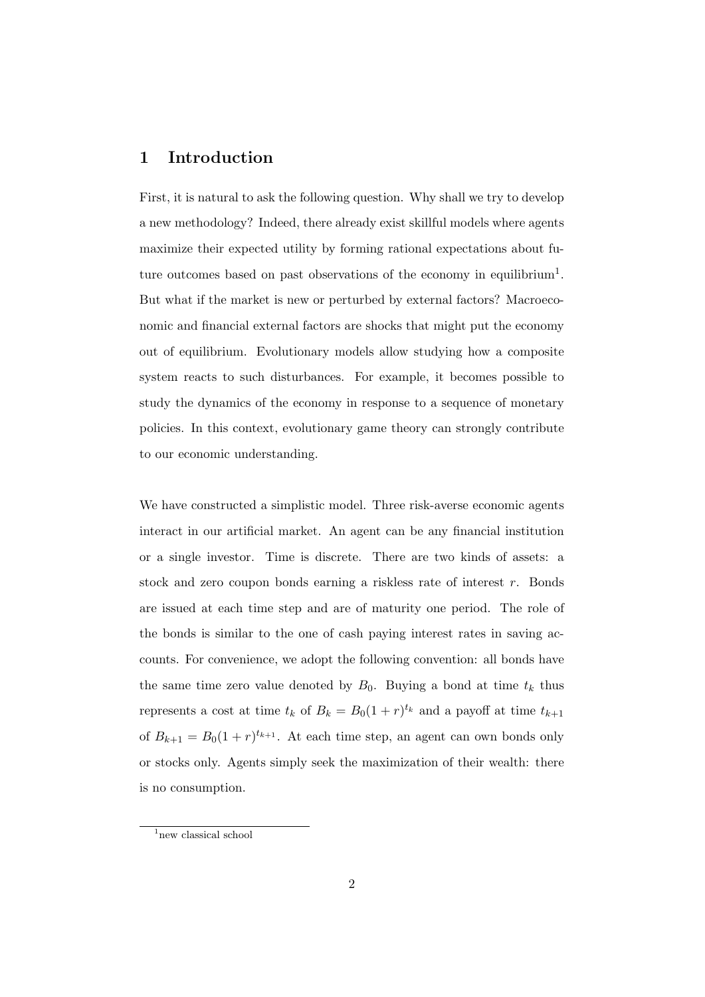#### 1 Introduction

First, it is natural to ask the following question. Why shall we try to develop a new methodology? Indeed, there already exist skillful models where agents maximize their expected utility by forming rational expectations about future outcomes based on past observations of the economy in equilibrium<sup>1</sup>. But what if the market is new or perturbed by external factors? Macroeconomic and financial external factors are shocks that might put the economy out of equilibrium. Evolutionary models allow studying how a composite system reacts to such disturbances. For example, it becomes possible to study the dynamics of the economy in response to a sequence of monetary policies. In this context, evolutionary game theory can strongly contribute to our economic understanding.

We have constructed a simplistic model. Three risk-averse economic agents interact in our artificial market. An agent can be any financial institution or a single investor. Time is discrete. There are two kinds of assets: a stock and zero coupon bonds earning a riskless rate of interest r. Bonds are issued at each time step and are of maturity one period. The role of the bonds is similar to the one of cash paying interest rates in saving accounts. For convenience, we adopt the following convention: all bonds have the same time zero value denoted by  $B_0$ . Buying a bond at time  $t_k$  thus represents a cost at time  $t_k$  of  $B_k = B_0(1+r)^{t_k}$  and a payoff at time  $t_{k+1}$ of  $B_{k+1} = B_0(1+r)^{t_{k+1}}$ . At each time step, an agent can own bonds only or stocks only. Agents simply seek the maximization of their wealth: there is no consumption.

<sup>&</sup>lt;sup>1</sup>new classical school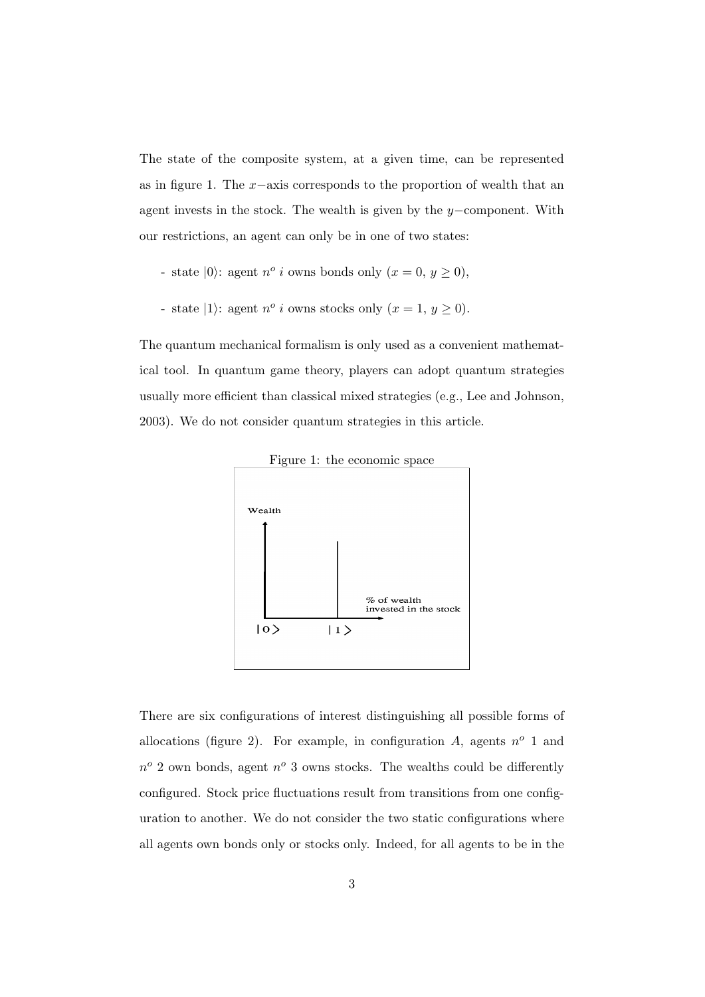The state of the composite system, at a given time, can be represented as in figure 1. The x−axis corresponds to the proportion of wealth that an agent invests in the stock. The wealth is given by the y−component. With our restrictions, an agent can only be in one of two states:

- state  $|0\rangle$ : agent  $n^{\circ}$  *i* owns bonds only  $(x = 0, y \ge 0)$ ,
- state |1): agent  $n^{\circ}$  *i* owns stocks only  $(x = 1, y \ge 0)$ .

The quantum mechanical formalism is only used as a convenient mathematical tool. In quantum game theory, players can adopt quantum strategies usually more efficient than classical mixed strategies (e.g., Lee and Johnson, 2003). We do not consider quantum strategies in this article.



There are six configurations of interest distinguishing all possible forms of allocations (figure 2). For example, in configuration A, agents  $n^o$  1 and  $n^o$  2 own bonds, agent  $n^o$  3 owns stocks. The wealths could be differently configured. Stock price fluctuations result from transitions from one configuration to another. We do not consider the two static configurations where all agents own bonds only or stocks only. Indeed, for all agents to be in the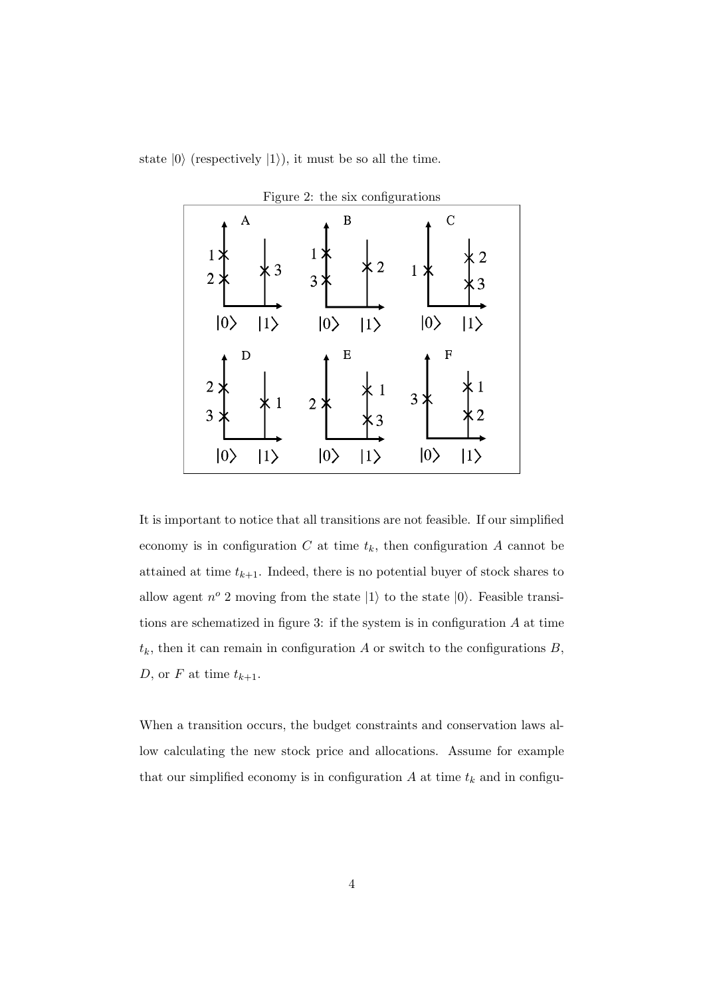state  $|0\rangle$  (respectively  $|1\rangle$ ), it must be so all the time.



It is important to notice that all transitions are not feasible. If our simplified economy is in configuration  $C$  at time  $t_k$ , then configuration  $A$  cannot be attained at time  $t_{k+1}$ . Indeed, there is no potential buyer of stock shares to allow agent  $n^o$  2 moving from the state  $|1\rangle$  to the state  $|0\rangle$ . Feasible transitions are schematized in figure 3: if the system is in configuration  $A$  at time  $t_k$ , then it can remain in configuration A or switch to the configurations B, D, or F at time  $t_{k+1}$ .

When a transition occurs, the budget constraints and conservation laws allow calculating the new stock price and allocations. Assume for example that our simplified economy is in configuration  $A$  at time  $t_k$  and in configu-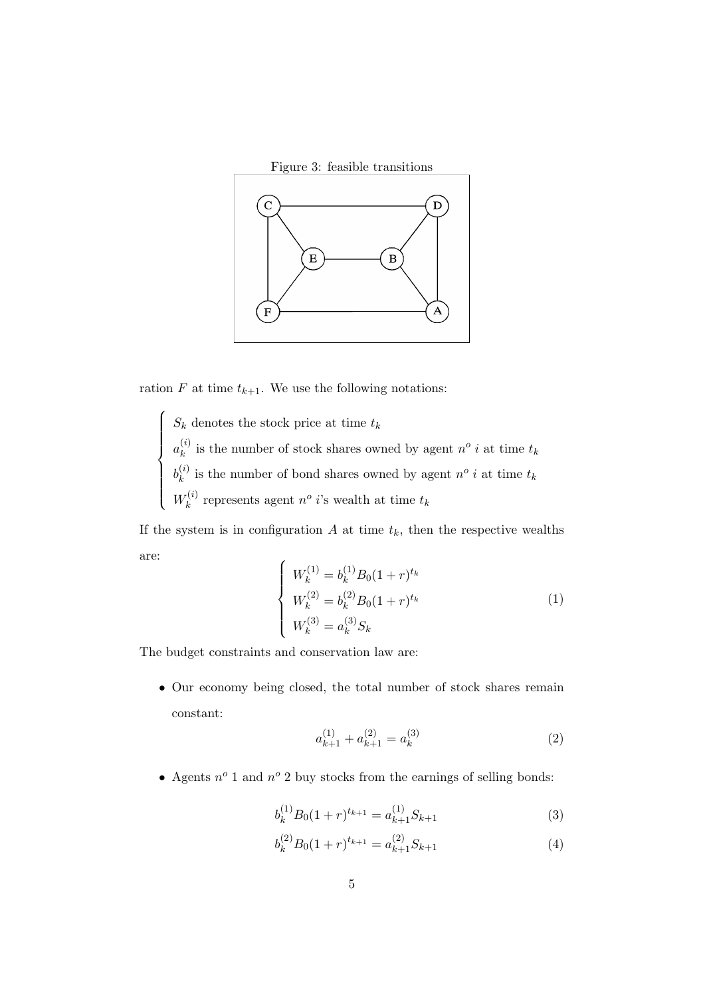

ration F at time  $t_{k+1}$ . We use the following notations:

 $\sqrt{ }$ 

 $\int$ 

 $\overline{\mathcal{L}}$ 

 $S_k$  denotes the stock price at time  $t_k$  $a_k^{(i)}$  $\binom{n}{k}$  is the number of stock shares owned by agent  $n^o$  *i* at time  $t_k$  $b_k^{(i)}$  $\binom{n}{k}$  is the number of bond shares owned by agent  $n^o$  *i* at time  $t_k$  $W_k^{(i)}$  $k_k^{(i)}$  represents agent  $n^o$  *i*'s wealth at time  $t_k$ 

If the system is in configuration  $A$  at time  $t_k$ , then the respective wealths are:

$$
\begin{cases}\nW_k^{(1)} = b_k^{(1)} B_0 (1+r)^{t_k} \\
W_k^{(2)} = b_k^{(2)} B_0 (1+r)^{t_k} \\
W_k^{(3)} = a_k^{(3)} S_k\n\end{cases}
$$
\n(1)

The budget constraints and conservation law are:

• Our economy being closed, the total number of stock shares remain constant:

$$
a_{k+1}^{(1)} + a_{k+1}^{(2)} = a_k^{(3)}
$$
\n<sup>(2)</sup>

• Agents  $n^o$  1 and  $n^o$  2 buy stocks from the earnings of selling bonds:

$$
b_k^{(1)}B_0(1+r)^{t_{k+1}} = a_{k+1}^{(1)}S_{k+1}
$$
\n(3)

$$
b_k^{(2)}B_0(1+r)^{t_{k+1}} = a_{k+1}^{(2)}S_{k+1}
$$
\n(4)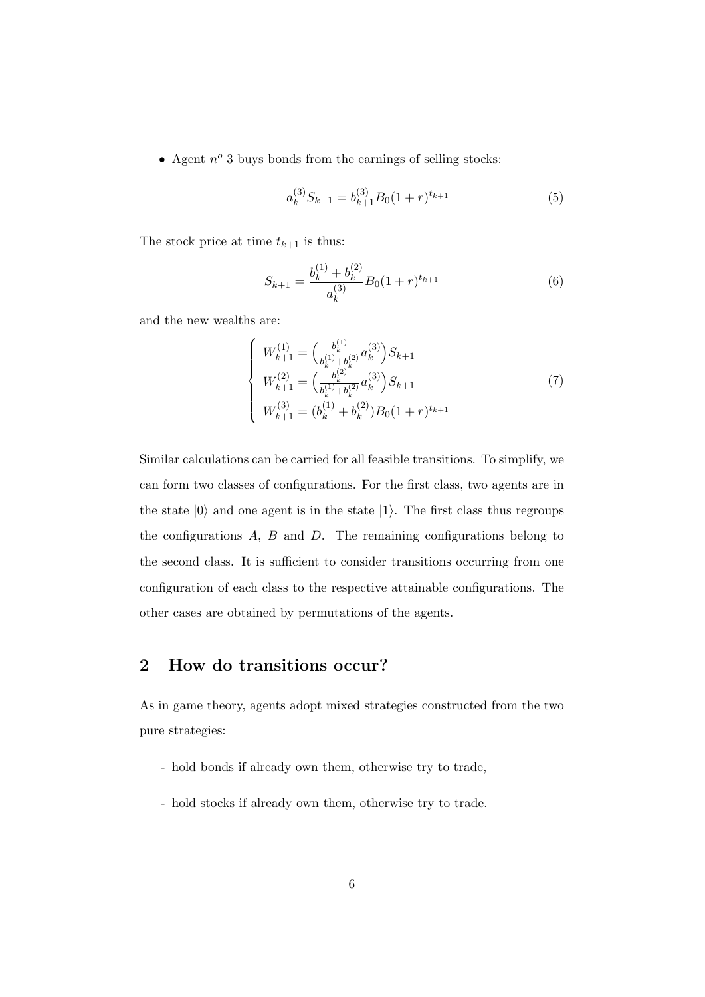• Agent  $n^o$  3 buys bonds from the earnings of selling stocks:

$$
a_k^{(3)}S_{k+1} = b_{k+1}^{(3)}B_0(1+r)^{t_{k+1}}
$$
\n(5)

The stock price at time  $t_{k+1}$  is thus:

$$
S_{k+1} = \frac{b_k^{(1)} + b_k^{(2)}}{a_k^{(3)}} B_0 (1+r)^{t_{k+1}} \tag{6}
$$

and the new wealths are:

$$
\begin{cases}\nW_{k+1}^{(1)} = \left(\frac{b_k^{(1)}}{b_k^{(1)} + b_k^{(2)}} a_k^{(3)}\right) S_{k+1} \\
W_{k+1}^{(2)} = \left(\frac{b_k^{(2)}}{b_k^{(1)} + b_k^{(2)}} a_k^{(3)}\right) S_{k+1} \\
W_{k+1}^{(3)} = (b_k^{(1)} + b_k^{(2)}) B_0 (1+r)^{t_{k+1}}\n\end{cases} (7)
$$

Similar calculations can be carried for all feasible transitions. To simplify, we can form two classes of configurations. For the first class, two agents are in the state  $|0\rangle$  and one agent is in the state  $|1\rangle$ . The first class thus regroups the configurations  $A$ ,  $B$  and  $D$ . The remaining configurations belong to the second class. It is sufficient to consider transitions occurring from one configuration of each class to the respective attainable configurations. The other cases are obtained by permutations of the agents.

#### 2 How do transitions occur?

As in game theory, agents adopt mixed strategies constructed from the two pure strategies:

- hold bonds if already own them, otherwise try to trade,
- hold stocks if already own them, otherwise try to trade.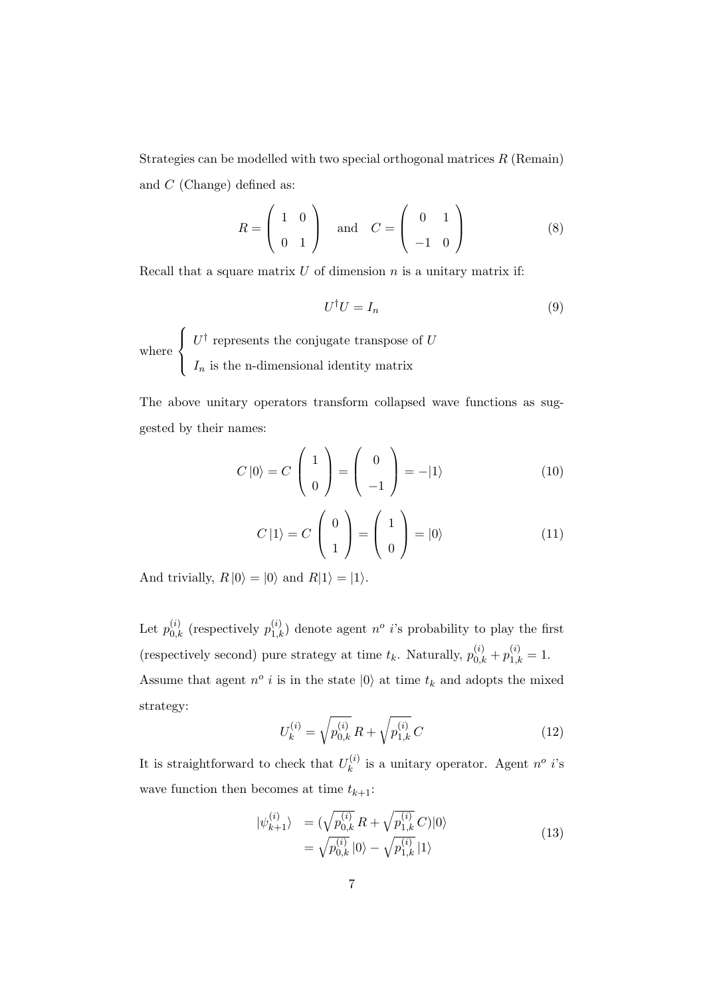Strategies can be modelled with two special orthogonal matrices  $R$  (Remain) and C (Change) defined as:

$$
R = \begin{pmatrix} 1 & 0 \\ 0 & 1 \end{pmatrix} \quad \text{and} \quad C = \begin{pmatrix} 0 & 1 \\ -1 & 0 \end{pmatrix} \tag{8}
$$

Recall that a square matrix  $U$  of dimension  $n$  is a unitary matrix if:

$$
U^{\dagger}U = I_n \tag{9}
$$

where  $\sqrt{ }$  $\int$  $\overline{\mathcal{L}}$  $U^{\dagger}$  represents the conjugate transpose of U  $I_n$  is the n-dimensional identity matrix

The above unitary operators transform collapsed wave functions as suggested by their names:

$$
C |0\rangle = C \begin{pmatrix} 1 \\ 0 \end{pmatrix} = \begin{pmatrix} 0 \\ -1 \end{pmatrix} = -|1\rangle \tag{10}
$$

$$
C |1\rangle = C \begin{pmatrix} 0 \\ 1 \end{pmatrix} = \begin{pmatrix} 1 \\ 0 \end{pmatrix} = |0\rangle \tag{11}
$$

And trivially,  $R |0\rangle = |0\rangle$  and  $R|1\rangle = |1\rangle$ .

Let  $p_{0,k}^{(i)}$  (respectively  $p_{1,k}^{(i)}$ ) denote agent  $n^o$  *i*'s probability to play the first (respectively second) pure strategy at time  $t_k$ . Naturally,  $p_{0,k}^{(i)} + p_{1,k}^{(i)} = 1$ . Assume that agent  $n^o$  *i* is in the state  $|0\rangle$  at time  $t_k$  and adopts the mixed strategy:

$$
U_k^{(i)} = \sqrt{p_{0,k}^{(i)}} R + \sqrt{p_{1,k}^{(i)}} C
$$
 (12)

It is straightforward to check that  $U_k^{(i)}$  $\mathbf{k}^{(i)}$  is a unitary operator. Agent  $n^o$  *i*'s wave function then becomes at time  $t_{k+1}$ :

$$
\begin{aligned} |\psi_{k+1}^{(i)} \rangle &= (\sqrt{p_{0,k}^{(i)}} R + \sqrt{p_{1,k}^{(i)}} C) |0\rangle \\ &= \sqrt{p_{0,k}^{(i)}} |0\rangle - \sqrt{p_{1,k}^{(i)}} |1\rangle \end{aligned} \tag{13}
$$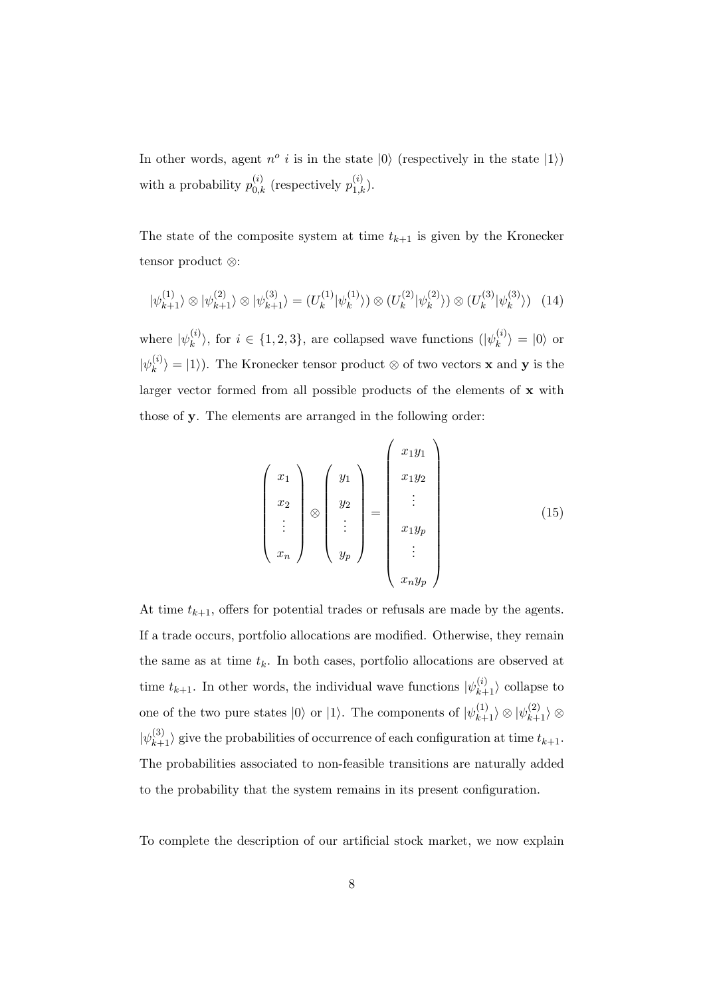In other words, agent  $n^{\circ}$  *i* is in the state  $|0\rangle$  (respectively in the state  $|1\rangle$ ) with a probability  $p_{0,k}^{(i)}$  (respectively  $p_{1,k}^{(i)}$ ).

The state of the composite system at time  $t_{k+1}$  is given by the Kronecker tensor product ⊗:

$$
|\psi_{k+1}^{(1)}\rangle \otimes |\psi_{k+1}^{(2)}\rangle \otimes |\psi_{k+1}^{(3)}\rangle = (U_k^{(1)}|\psi_k^{(1)}\rangle) \otimes (U_k^{(2)}|\psi_k^{(2)}\rangle) \otimes (U_k^{(3)}|\psi_k^{(3)}\rangle) \tag{14}
$$

where  $|\psi_k^{(i)}\>$  $\langle i \rangle_k$ , for  $i \in \{1, 2, 3\}$ , are collapsed wave functions  $(|\psi_k^{(i)}\rangle)$  $\langle k^{(i)} \rangle = |0\rangle$  or  $|\psi_k^{(i)}\>$  $\langle k \rangle = |1\rangle$ . The Kronecker tensor product ⊗ of two vectors **x** and **y** is the larger vector formed from all possible products of the elements of x with those of y. The elements are arranged in the following order:

$$
\begin{pmatrix}\nx_1 \\
x_2 \\
\vdots \\
x_n\n\end{pmatrix}\n\otimes\n\begin{pmatrix}\ny_1 \\
y_2 \\
\vdots \\
y_p\n\end{pmatrix}\n=\n\begin{pmatrix}\nx_1y_1 \\
x_1y_2 \\
\vdots \\
x_1y_p \\
\vdots \\
x_ny_p\n\end{pmatrix}
$$
\n(15)

At time  $t_{k+1}$ , offers for potential trades or refusals are made by the agents. If a trade occurs, portfolio allocations are modified. Otherwise, they remain the same as at time  $t_k$ . In both cases, portfolio allocations are observed at time  $t_{k+1}$ . In other words, the individual wave functions  $|\psi_{k+1}^{(i)}\rangle$  collapse to one of the two pure states  $|0\rangle$  or  $|1\rangle$ . The components of  $|\psi_{k+1}^{(1)}\rangle \otimes |\psi_{k+1}^{(2)}\rangle \otimes$  $|\psi_{k+1}^{(3)}\rangle$  give the probabilities of occurrence of each configuration at time  $t_{k+1}$ . The probabilities associated to non-feasible transitions are naturally added to the probability that the system remains in its present configuration.

To complete the description of our artificial stock market, we now explain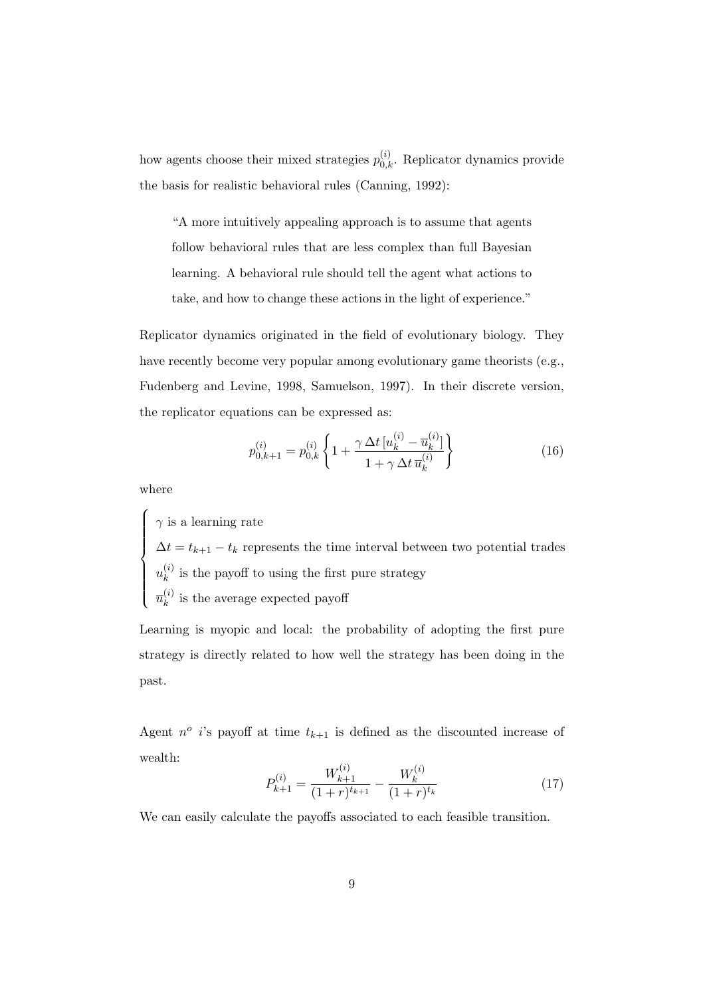how agents choose their mixed strategies  $p_{0,k}^{(i)}$ . Replicator dynamics provide the basis for realistic behavioral rules (Canning, 1992):

"A more intuitively appealing approach is to assume that agents follow behavioral rules that are less complex than full Bayesian learning. A behavioral rule should tell the agent what actions to take, and how to change these actions in the light of experience."

Replicator dynamics originated in the field of evolutionary biology. They have recently become very popular among evolutionary game theorists (e.g., Fudenberg and Levine, 1998, Samuelson, 1997). In their discrete version, the replicator equations can be expressed as:

$$
p_{0,k+1}^{(i)} = p_{0,k}^{(i)} \left\{ 1 + \frac{\gamma \Delta t \left[ u_k^{(i)} - \overline{u}_k^{(i)} \right]}{1 + \gamma \Delta t \, \overline{u}_k^{(i)}} \right\}
$$
(16)

where

 $\sqrt{ }$ 

 $\int$ 

 $\overline{\mathcal{L}}$ 

 $\gamma$  is a learning rate  $\Delta t = t_{k+1} - t_k$  represents the time interval between two potential trades  $u_k^{(i)}$  $\kappa$ <sup>(*i*</sup>) is the payoff to using the first pure strategy  $\overline{u}_k^{(i)}$  $\kappa^{(i)}_k$  is the average expected payoff

Learning is myopic and local: the probability of adopting the first pure strategy is directly related to how well the strategy has been doing in the past.

Agent  $n^o$  *i*'s payoff at time  $t_{k+1}$  is defined as the discounted increase of wealth:

$$
P_{k+1}^{(i)} = \frac{W_{k+1}^{(i)}}{(1+r)^{t_{k+1}}} - \frac{W_k^{(i)}}{(1+r)^{t_k}} \tag{17}
$$

We can easily calculate the payoffs associated to each feasible transition.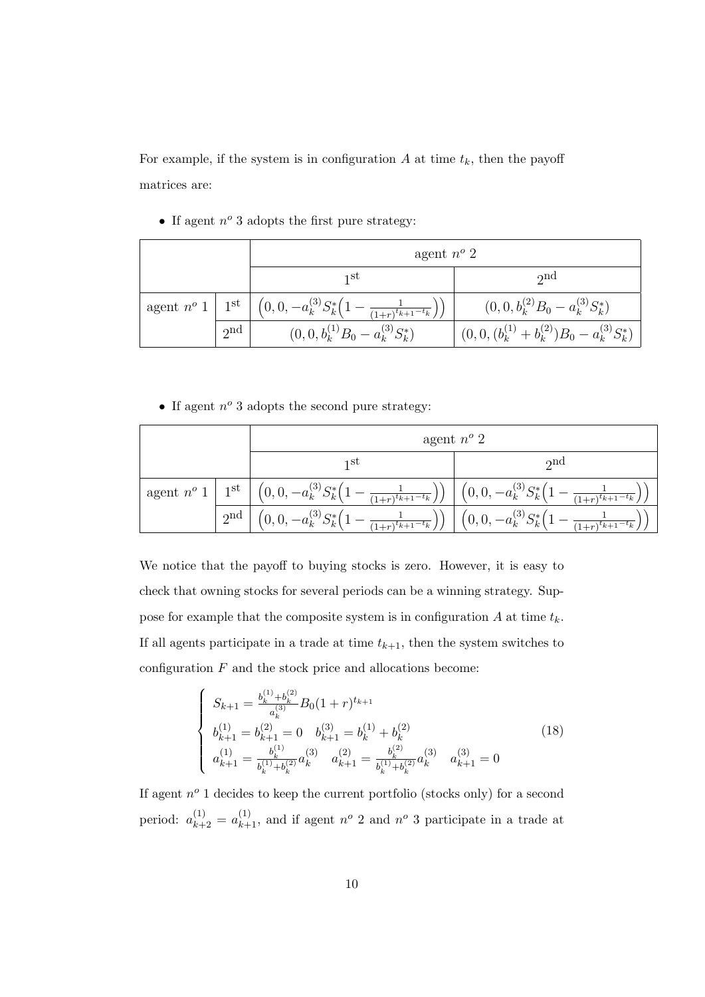For example, if the system is in configuration  $A$  at time  $t_k$ , then the payoff matrices are:

• If agent  $n^o$  3 adopts the first pure strategy:

|  |     | agent $n^o$ 2                                                                                               |                                                 |
|--|-----|-------------------------------------------------------------------------------------------------------------|-------------------------------------------------|
|  |     | 1 St                                                                                                        | $\gamma$ nd                                     |
|  |     | agent $n^o 1$   1 <sup>st</sup>   $(0, 0, -a_k^{(3)} S_k^* \left(1 - \frac{1}{(1+r)^{t_{k+1}-t_k}}\right))$ | $(0,0,b_k^{(2)}B_0-a_k^{(3)}S_k^*)$             |
|  | 2nd | $(0,0,b_k^{(1)}B_0-a_k^{(3)}S_k^*)$                                                                         | $(0,0,(b_k^{(1)}+b_k^{(2)})B_0-a_k^{(3)}S_k^*)$ |

• If agent  $n^o$  3 adopts the second pure strategy:

|                       |                 | agent $n^o$ 2                                                                            |                                                                                |
|-----------------------|-----------------|------------------------------------------------------------------------------------------|--------------------------------------------------------------------------------|
|                       |                 | 1 St                                                                                     | $\gamma$ nd                                                                    |
| ' agent $n^o$ 1   1st |                 | $\left[ (0,0,-a_k^{(3)}S_k^*\left(1-\frac{1}{(1+r)^{t_{k+1}-t_k}}\right) )\right]$       | $\left(0,0,-a_k^{(3)}S_k^*\left(1-\frac{1}{(1+r)^{t_{k+1}-t_k}}\right)\right)$ |
|                       | 2 <sup>nd</sup> | $\big(0,0,-a_k^{(3)}S_k^*\big(1+\,$<br>$\left( \frac{1+r}{(1+r)^{t}k+1} - t_{k} \right)$ | $(0,0,-a_k^{(3)}S_k^*(1 -$<br>$-\frac{1}{(1+r)^{t_{k+1}-t_k}}$ ,               |

We notice that the payoff to buying stocks is zero. However, it is easy to check that owning stocks for several periods can be a winning strategy. Suppose for example that the composite system is in configuration  $A$  at time  $t_k$ . If all agents participate in a trade at time  $t_{k+1}$ , then the system switches to configuration  $F$  and the stock price and allocations become:

$$
\begin{cases}\nS_{k+1} = \frac{b_k^{(1)} + b_k^{(2)}}{a_k^{(3)}} B_0 (1+r)^{t_{k+1}} \\
b_{k+1}^{(1)} = b_{k+1}^{(2)} = 0 \quad b_{k+1}^{(3)} = b_k^{(1)} + b_k^{(2)} \\
a_{k+1}^{(1)} = \frac{b_k^{(1)}}{b_k^{(1)} + b_k^{(2)}} a_k^{(3)} \quad a_{k+1}^{(2)} = \frac{b_k^{(2)}}{b_k^{(1)} + b_k^{(2)}} a_k^{(3)} \quad a_{k+1}^{(3)} = 0\n\end{cases}
$$
\n(18)

If agent  $n^o$  1 decides to keep the current portfolio (stocks only) for a second period:  $a_{k+2}^{(1)} = a_{k+1}^{(1)}$ , and if agent  $n^o$  2 and  $n^o$  3 participate in a trade at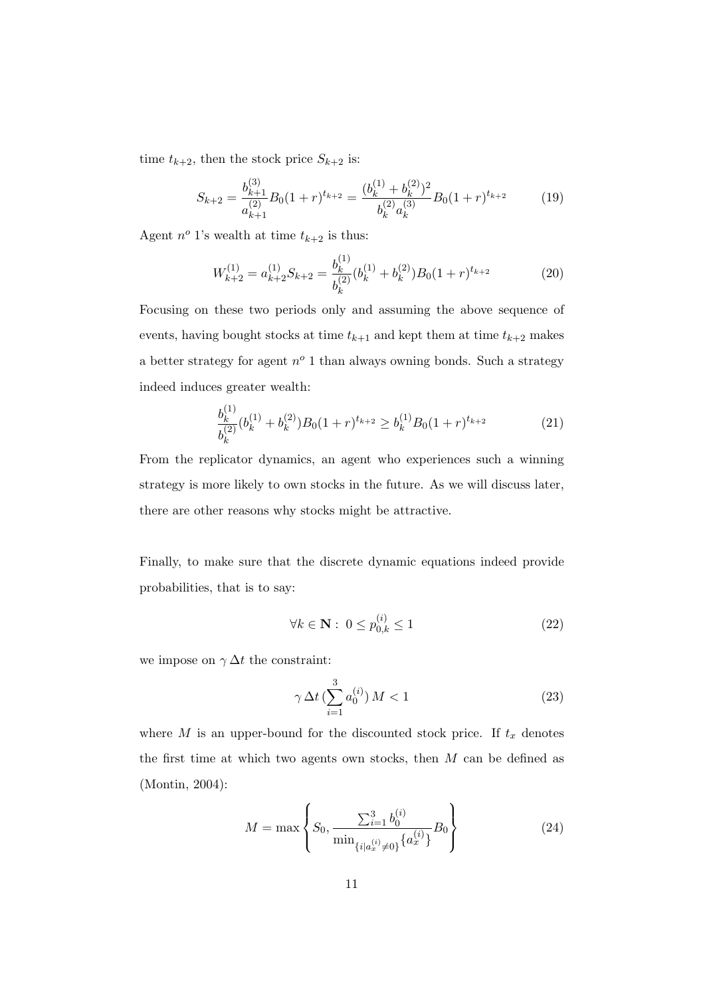time  $t_{k+2}$ , then the stock price  $S_{k+2}$  is:

$$
S_{k+2} = \frac{b_{k+1}^{(3)}}{a_{k+1}^{(2)}} B_0 (1+r)^{t_{k+2}} = \frac{(b_k^{(1)} + b_k^{(2)})^2}{b_k^{(2)} a_k^{(3)}} B_0 (1+r)^{t_{k+2}}
$$
(19)

Agent  $n^o$  1's wealth at time  $t_{k+2}$  is thus:

$$
W_{k+2}^{(1)} = a_{k+2}^{(1)} S_{k+2} = \frac{b_k^{(1)}}{b_k^{(2)}} (b_k^{(1)} + b_k^{(2)}) B_0 (1+r)^{t_{k+2}}
$$
(20)

Focusing on these two periods only and assuming the above sequence of events, having bought stocks at time  $t_{k+1}$  and kept them at time  $t_{k+2}$  makes a better strategy for agent  $n^o$  1 than always owning bonds. Such a strategy indeed induces greater wealth:

$$
\frac{b_k^{(1)}}{b_k^{(2)}} (b_k^{(1)} + b_k^{(2)}) B_0 (1+r)^{t_{k+2}} \ge b_k^{(1)} B_0 (1+r)^{t_{k+2}} \tag{21}
$$

From the replicator dynamics, an agent who experiences such a winning strategy is more likely to own stocks in the future. As we will discuss later, there are other reasons why stocks might be attractive.

Finally, to make sure that the discrete dynamic equations indeed provide probabilities, that is to say:

$$
\forall k \in \mathbf{N} : 0 \le p_{0,k}^{(i)} \le 1 \tag{22}
$$

we impose on  $\gamma \Delta t$  the constraint:

$$
\gamma \,\Delta t \, (\sum_{i=1}^{3} a_0^{(i)})\,M < 1\tag{23}
$$

where M is an upper-bound for the discounted stock price. If  $t_x$  denotes the first time at which two agents own stocks, then  $M$  can be defined as (Montin, 2004):

$$
M = \max \left\{ S_0, \frac{\sum_{i=1}^3 b_0^{(i)}}{\min_{\{i \mid a_x^{(i)} \neq 0\}} \{a_x^{(i)}\}} B_0 \right\}
$$
(24)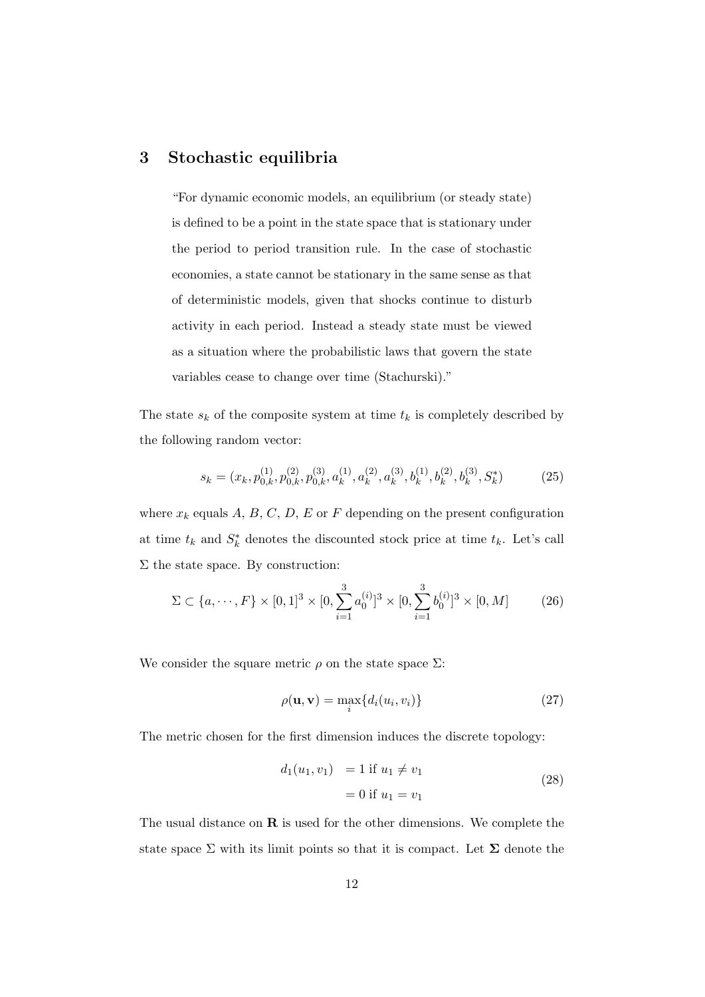### 3 Stochastic equilibria

"For dynamic economic models, an equilibrium (or steady state) is defined to be a point in the state space that is stationary under the period to period transition rule. In the case of stochastic economies, a state cannot be stationary in the same sense as that of deterministic models, given that shocks continue to disturb activity in each period. Instead a steady state must be viewed as a situation where the probabilistic laws that govern the state variables cease to change over time (Stachurski)."

The state  $s_k$  of the composite system at time  $t_k$  is completely described by the following random vector:

$$
s_k = (x_k, p_{0,k}^{(1)}, p_{0,k}^{(2)}, p_{0,k}^{(3)}, a_k^{(1)}, a_k^{(2)}, a_k^{(3)}, b_k^{(1)}, b_k^{(2)}, b_k^{(3)}, S_k^*)
$$
(25)

where  $x_k$  equals A, B, C, D, E or F depending on the present configuration at time  $t_k$  and  $S_k^*$  denotes the discounted stock price at time  $t_k$ . Let's call  $\Sigma$  the state space. By construction:

$$
\Sigma \subset \{a, \cdots, F\} \times [0, 1]^3 \times [0, \sum_{i=1}^3 a_0^{(i)}]^3 \times [0, \sum_{i=1}^3 b_0^{(i)}]^3 \times [0, M] \tag{26}
$$

We consider the square metric  $\rho$  on the state space  $\Sigma$ :

$$
\rho(\mathbf{u}, \mathbf{v}) = \max_{i} \{ d_i(u_i, v_i) \}
$$
\n(27)

The metric chosen for the first dimension induces the discrete topology:

$$
d_1(u_1, v_1) = 1 \text{ if } u_1 \neq v_1
$$
  
= 0 if  $u_1 = v_1$  (28)

The usual distance on  **is used for the other dimensions. We complete the** state space  $\Sigma$  with its limit points so that it is compact. Let  $\Sigma$  denote the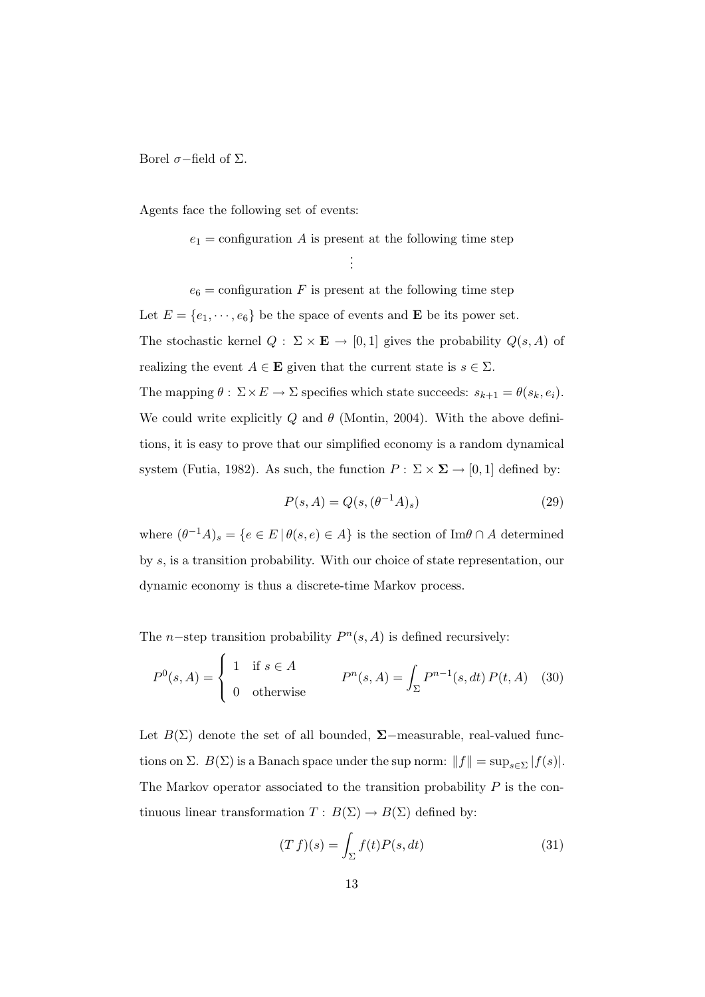Borel  $σ$ −field of Σ.

Agents face the following set of events:

 $e_1$  = configuration A is present at the following time step

. . .

 $e_6$  = configuration F is present at the following time step Let  $E = \{e_1, \dots, e_6\}$  be the space of events and **E** be its power set. The stochastic kernel  $Q: \Sigma \times \mathbf{E} \to [0,1]$  gives the probability  $Q(s, A)$  of realizing the event  $A \in \mathbf{E}$  given that the current state is  $s \in \Sigma$ . The mapping  $\theta : \Sigma \times E \to \Sigma$  specifies which state succeeds:  $s_{k+1} = \theta(s_k, e_i)$ . We could write explicitly  $Q$  and  $\theta$  (Montin, 2004). With the above definitions, it is easy to prove that our simplified economy is a random dynamical system (Futia, 1982). As such, the function  $P : \Sigma \times \Sigma \to [0,1]$  defined by:

$$
P(s, A) = Q(s, (\theta^{-1}A)_s)
$$
\n(29)

where  $(\theta^{-1}A)_s = \{e \in E \mid \theta(s,e) \in A\}$  is the section of Im $\theta \cap A$  determined by s, is a transition probability. With our choice of state representation, our dynamic economy is thus a discrete-time Markov process.

The *n*-step transition probability  $P^{n}(s, A)$  is defined recursively:

$$
P^{0}(s, A) = \begin{cases} 1 & \text{if } s \in A \\ 0 & \text{otherwise} \end{cases} \qquad P^{n}(s, A) = \int_{\Sigma} P^{n-1}(s, dt) P(t, A) \quad (30)
$$

Let  $B(\Sigma)$  denote the set of all bounded,  $\Sigma$ -measurable, real-valued functions on Σ.  $B(\Sigma)$  is a Banach space under the sup norm:  $||f|| = \sup_{s \in \Sigma} |f(s)|$ . The Markov operator associated to the transition probability  $P$  is the continuous linear transformation  $T: B(\Sigma) \to B(\Sigma)$  defined by:

$$
(T f)(s) = \int_{\Sigma} f(t) P(s, dt)
$$
\n(31)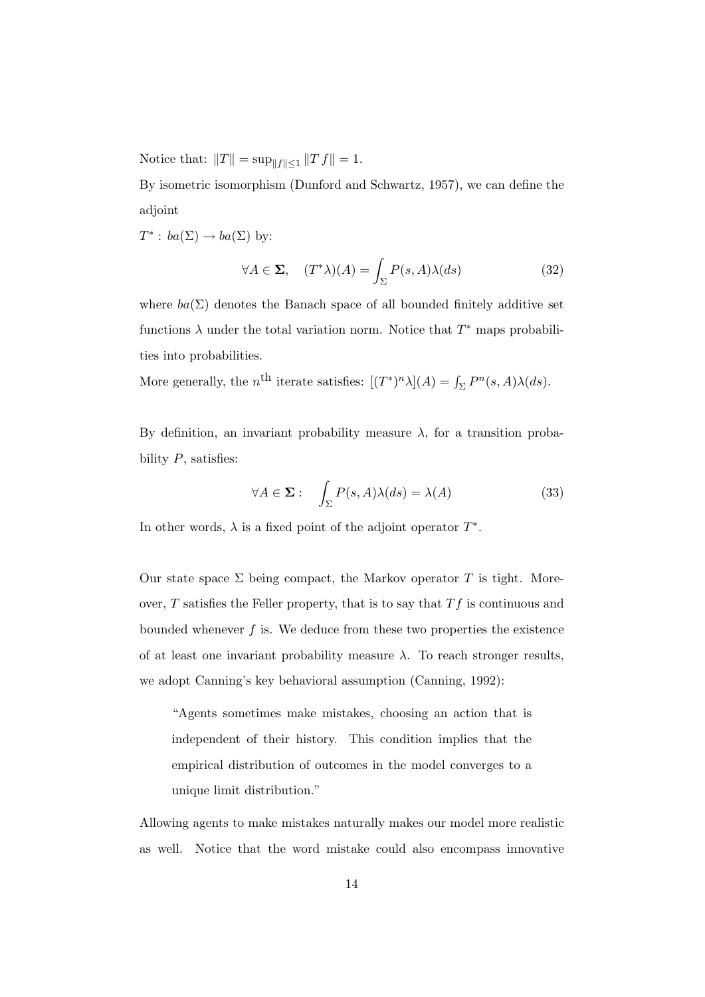Notice that:  $||T|| = \sup_{||f|| \le 1} ||T f|| = 1.$ 

By isometric isomorphism (Dunford and Schwartz, 1957), we can define the adjoint

 $T^*$ :  $ba(\Sigma) \rightarrow ba(\Sigma)$  by:

$$
\forall A \in \Sigma, \quad (T^*\lambda)(A) = \int_{\Sigma} P(s, A)\lambda(ds) \tag{32}
$$

where  $ba(\Sigma)$  denotes the Banach space of all bounded finitely additive set functions  $\lambda$  under the total variation norm. Notice that  $T^*$  maps probabilities into probabilities.

More generally, the n<sup>th</sup> iterate satisfies:  $[(T^*)^n \lambda](A) = \int_{\Sigma} P^n(s, A) \lambda(ds)$ .

By definition, an invariant probability measure  $\lambda$ , for a transition probability  $P$ , satisfies:

$$
\forall A \in \Sigma: \quad \int_{\Sigma} P(s, A) \lambda(ds) = \lambda(A) \tag{33}
$$

In other words,  $\lambda$  is a fixed point of the adjoint operator  $T^*$ .

Our state space  $\Sigma$  being compact, the Markov operator T is tight. Moreover,  $T$  satisfies the Feller property, that is to say that  $Tf$  is continuous and bounded whenever  $f$  is. We deduce from these two properties the existence of at least one invariant probability measure  $\lambda$ . To reach stronger results, we adopt Canning's key behavioral assumption (Canning, 1992):

"Agents sometimes make mistakes, choosing an action that is independent of their history. This condition implies that the empirical distribution of outcomes in the model converges to a unique limit distribution."

Allowing agents to make mistakes naturally makes our model more realistic as well. Notice that the word mistake could also encompass innovative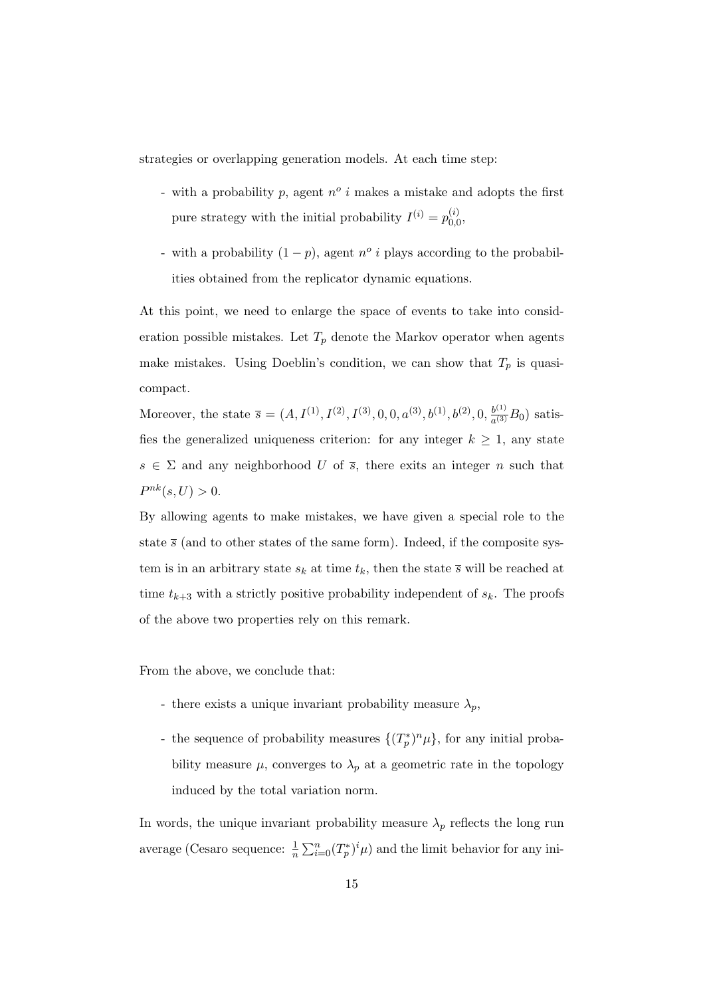strategies or overlapping generation models. At each time step:

- with a probability  $p$ , agent  $n^{\circ}$  i makes a mistake and adopts the first pure strategy with the initial probability  $I^{(i)} = p_{0,i}^{(i)}$  $\mathbf{C}^{(i)}_{0,0},$
- with a probability  $(1 p)$ , agent  $n^{\circ}$  *i* plays according to the probabilities obtained from the replicator dynamic equations.

At this point, we need to enlarge the space of events to take into consideration possible mistakes. Let  $T_p$  denote the Markov operator when agents make mistakes. Using Doeblin's condition, we can show that  $T_p$  is quasicompact.

Moreover, the state  $\bar{s} = (A, I^{(1)}, I^{(2)}, I^{(3)}, 0, 0, a^{(3)}, b^{(1)}, b^{(2)}, 0, \frac{b^{(1)}}{c^{(3)}})$  $\frac{b^{(1)}}{a^{(3)}}B_0$ ) satisfies the generalized uniqueness criterion: for any integer  $k \geq 1$ , any state  $s \in \Sigma$  and any neighborhood U of  $\overline{s}$ , there exits an integer n such that  $P^{nk}(s, U) > 0.$ 

By allowing agents to make mistakes, we have given a special role to the state  $\bar{s}$  (and to other states of the same form). Indeed, if the composite system is in an arbitrary state  $s_k$  at time  $t_k$ , then the state  $\overline{s}$  will be reached at time  $t_{k+3}$  with a strictly positive probability independent of  $s_k$ . The proofs of the above two properties rely on this remark.

From the above, we conclude that:

- there exists a unique invariant probability measure  $\lambda_p$ ,
- the sequence of probability measures  $\{(T_p^*)^n\mu\}$ , for any initial probability measure  $\mu$ , converges to  $\lambda_p$  at a geometric rate in the topology induced by the total variation norm.

In words, the unique invariant probability measure  $\lambda_p$  reflects the long run average (Cesaro sequence:  $\frac{1}{n} \sum_{i=0}^{n} (T_p^*)^i \mu$ ) and the limit behavior for any ini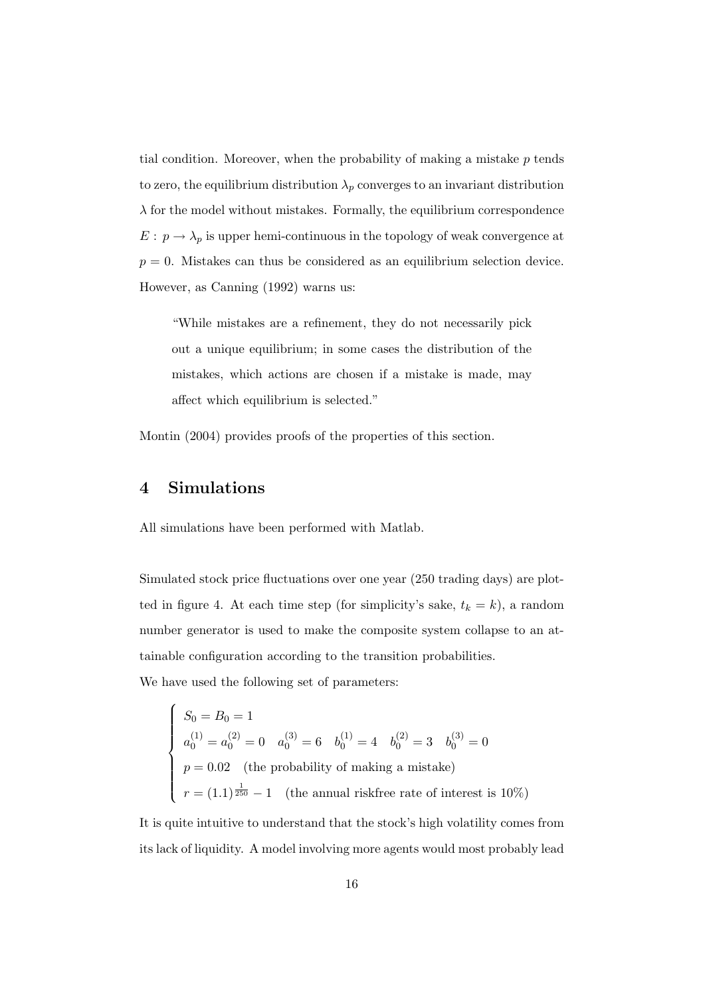tial condition. Moreover, when the probability of making a mistake p tends to zero, the equilibrium distribution  $\lambda_p$  converges to an invariant distribution  $\lambda$  for the model without mistakes. Formally, the equilibrium correspondence  $E:\, p \rightarrow \lambda_p$  is upper hemi-continuous in the topology of weak convergence at  $p = 0$ . Mistakes can thus be considered as an equilibrium selection device. However, as Canning (1992) warns us:

"While mistakes are a refinement, they do not necessarily pick out a unique equilibrium; in some cases the distribution of the mistakes, which actions are chosen if a mistake is made, may affect which equilibrium is selected."

Montin (2004) provides proofs of the properties of this section.

### 4 Simulations

All simulations have been performed with Matlab.

Simulated stock price fluctuations over one year (250 trading days) are plotted in figure 4. At each time step (for simplicity's sake,  $t_k = k$ ), a random number generator is used to make the composite system collapse to an attainable configuration according to the transition probabilities. We have used the following set of parameters:

$$
\begin{cases}\nS_0 = B_0 = 1 \\
a_0^{(1)} = a_0^{(2)} = 0 \\
n = 0\n\end{cases}
$$
\n
$$
a_0^{(3)} = 6
$$
\n
$$
b_0^{(1)} = 4
$$
\n
$$
b_0^{(2)} = 3
$$
\n
$$
b_0^{(3)} = 0
$$
\n
$$
p = 0.02
$$
\n(the probability of making a mistake)

\n
$$
r = (1.1)^{\frac{1}{250}} - 1
$$
\n(the annual riskfree rate of interest is 10%)

It is quite intuitive to understand that the stock's high volatility comes from its lack of liquidity. A model involving more agents would most probably lead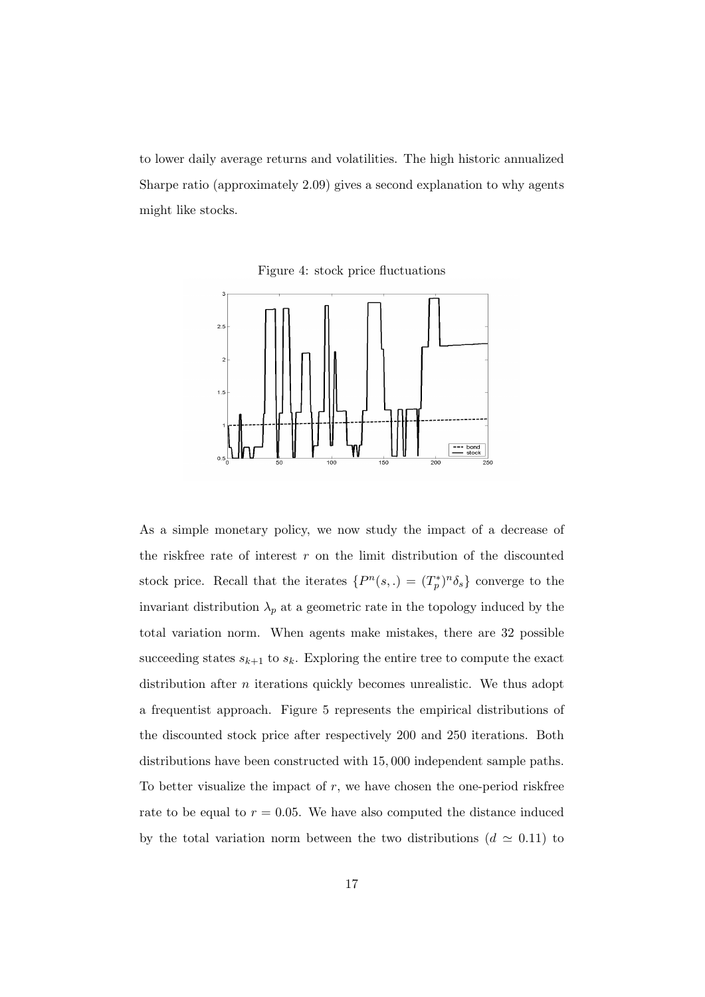to lower daily average returns and volatilities. The high historic annualized Sharpe ratio (approximately 2.09) gives a second explanation to why agents might like stocks.

Figure 4: stock price fluctuations



As a simple monetary policy, we now study the impact of a decrease of the riskfree rate of interest  $r$  on the limit distribution of the discounted stock price. Recall that the iterates  $\{P^n(s,.)=(T_p^*)^n\delta_s\}$  converge to the invariant distribution  $\lambda_p$  at a geometric rate in the topology induced by the total variation norm. When agents make mistakes, there are 32 possible succeeding states  $s_{k+1}$  to  $s_k$ . Exploring the entire tree to compute the exact distribution after  $n$  iterations quickly becomes unrealistic. We thus adopt a frequentist approach. Figure 5 represents the empirical distributions of the discounted stock price after respectively 200 and 250 iterations. Both distributions have been constructed with 15, 000 independent sample paths. To better visualize the impact of  $r$ , we have chosen the one-period riskfree rate to be equal to  $r = 0.05$ . We have also computed the distance induced by the total variation norm between the two distributions ( $d \approx 0.11$ ) to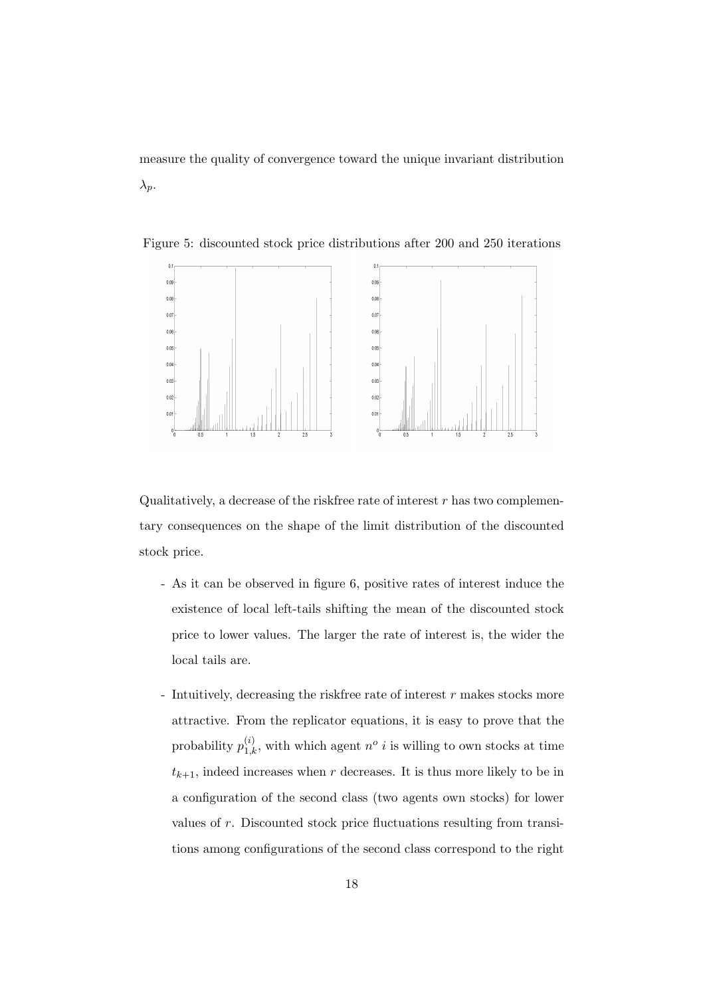measure the quality of convergence toward the unique invariant distribution  $\lambda_p$ .



Figure 5: discounted stock price distributions after 200 and 250 iterations

Qualitatively, a decrease of the riskfree rate of interest  $r$  has two complementary consequences on the shape of the limit distribution of the discounted stock price.

- As it can be observed in figure 6, positive rates of interest induce the existence of local left-tails shifting the mean of the discounted stock price to lower values. The larger the rate of interest is, the wider the local tails are.
- Intuitively, decreasing the riskfree rate of interest  $r$  makes stocks more attractive. From the replicator equations, it is easy to prove that the probability  $p_{1,k}^{(i)}$ , with which agent  $n^o$  *i* is willing to own stocks at time  $t_{k+1}$ , indeed increases when r decreases. It is thus more likely to be in a configuration of the second class (two agents own stocks) for lower values of r. Discounted stock price fluctuations resulting from transitions among configurations of the second class correspond to the right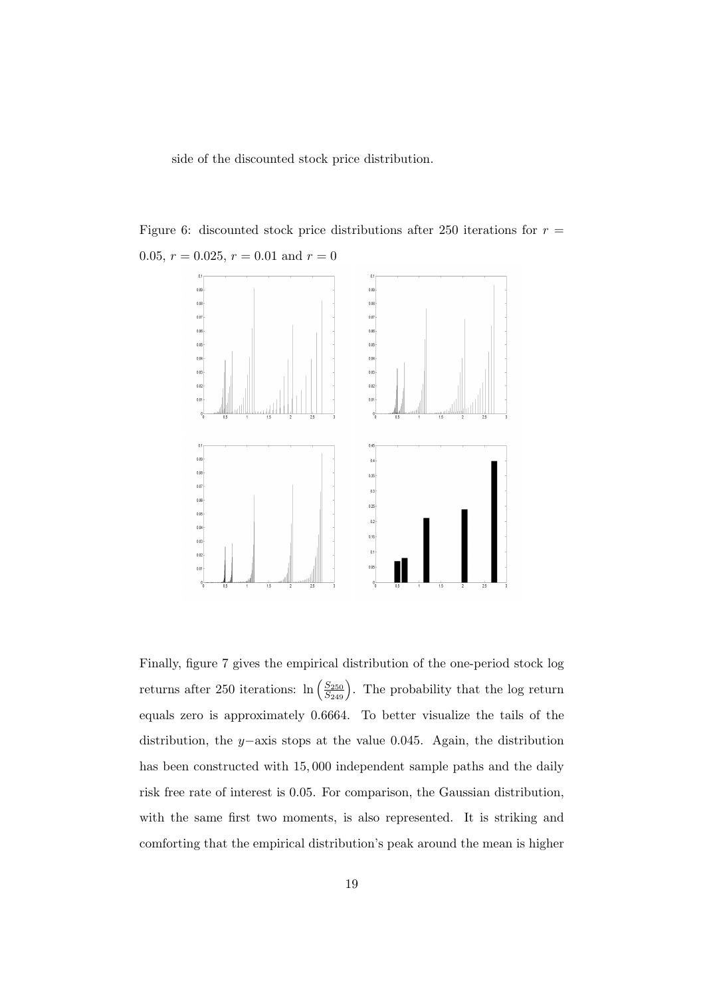side of the discounted stock price distribution.

Figure 6: discounted stock price distributions after 250 iterations for  $r =$ 0.05,  $r = 0.025$ ,  $r = 0.01$  and  $r = 0$ 



Finally, figure 7 gives the empirical distribution of the one-period stock log returns after 250 iterations:  $\ln\left(\frac{S_{250}}{S_{249}}\right)$ . The probability that the log return equals zero is approximately 0.6664. To better visualize the tails of the distribution, the y−axis stops at the value 0.045. Again, the distribution has been constructed with 15, 000 independent sample paths and the daily risk free rate of interest is 0.05. For comparison, the Gaussian distribution, with the same first two moments, is also represented. It is striking and comforting that the empirical distribution's peak around the mean is higher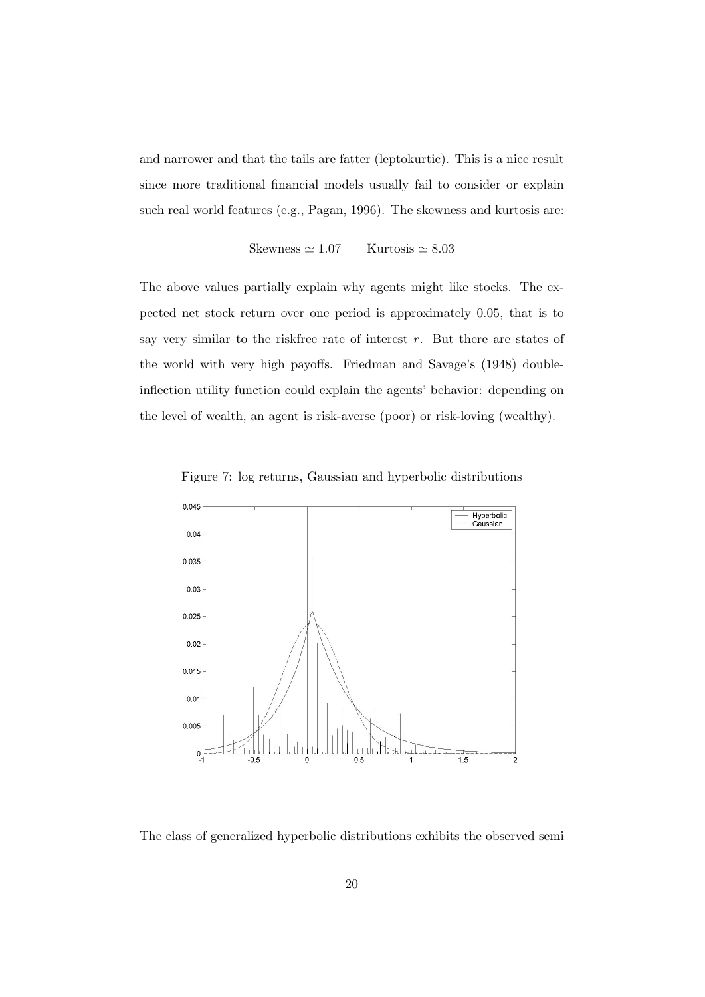and narrower and that the tails are fatter (leptokurtic). This is a nice result since more traditional financial models usually fail to consider or explain such real world features (e.g., Pagan, 1996). The skewness and kurtosis are:

Skewness  $\simeq 1.07$  Kurtosis  $\simeq 8.03$ 

The above values partially explain why agents might like stocks. The expected net stock return over one period is approximately 0.05, that is to say very similar to the riskfree rate of interest  $r$ . But there are states of the world with very high payoffs. Friedman and Savage's (1948) doubleinflection utility function could explain the agents' behavior: depending on the level of wealth, an agent is risk-averse (poor) or risk-loving (wealthy).





The class of generalized hyperbolic distributions exhibits the observed semi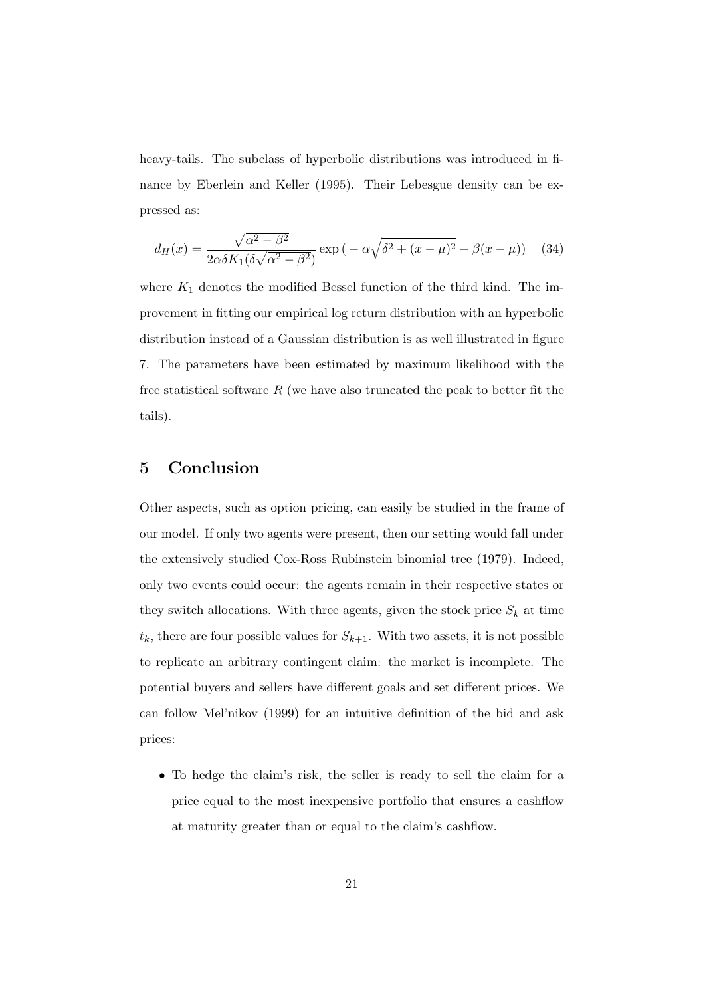heavy-tails. The subclass of hyperbolic distributions was introduced in finance by Eberlein and Keller (1995). Their Lebesgue density can be expressed as:

$$
d_H(x) = \frac{\sqrt{\alpha^2 - \beta^2}}{2\alpha\delta K_1(\delta\sqrt{\alpha^2 - \beta^2})} \exp\left(-\alpha\sqrt{\delta^2 + (x - \mu)^2} + \beta(x - \mu)\right) \quad (34)
$$

where  $K_1$  denotes the modified Bessel function of the third kind. The improvement in fitting our empirical log return distribution with an hyperbolic distribution instead of a Gaussian distribution is as well illustrated in figure 7. The parameters have been estimated by maximum likelihood with the free statistical software  $R$  (we have also truncated the peak to better fit the tails).

### 5 Conclusion

Other aspects, such as option pricing, can easily be studied in the frame of our model. If only two agents were present, then our setting would fall under the extensively studied Cox-Ross Rubinstein binomial tree (1979). Indeed, only two events could occur: the agents remain in their respective states or they switch allocations. With three agents, given the stock price  $S_k$  at time  $t_k$ , there are four possible values for  $S_{k+1}$ . With two assets, it is not possible to replicate an arbitrary contingent claim: the market is incomplete. The potential buyers and sellers have different goals and set different prices. We can follow Mel'nikov (1999) for an intuitive definition of the bid and ask prices:

• To hedge the claim's risk, the seller is ready to sell the claim for a price equal to the most inexpensive portfolio that ensures a cashflow at maturity greater than or equal to the claim's cashflow.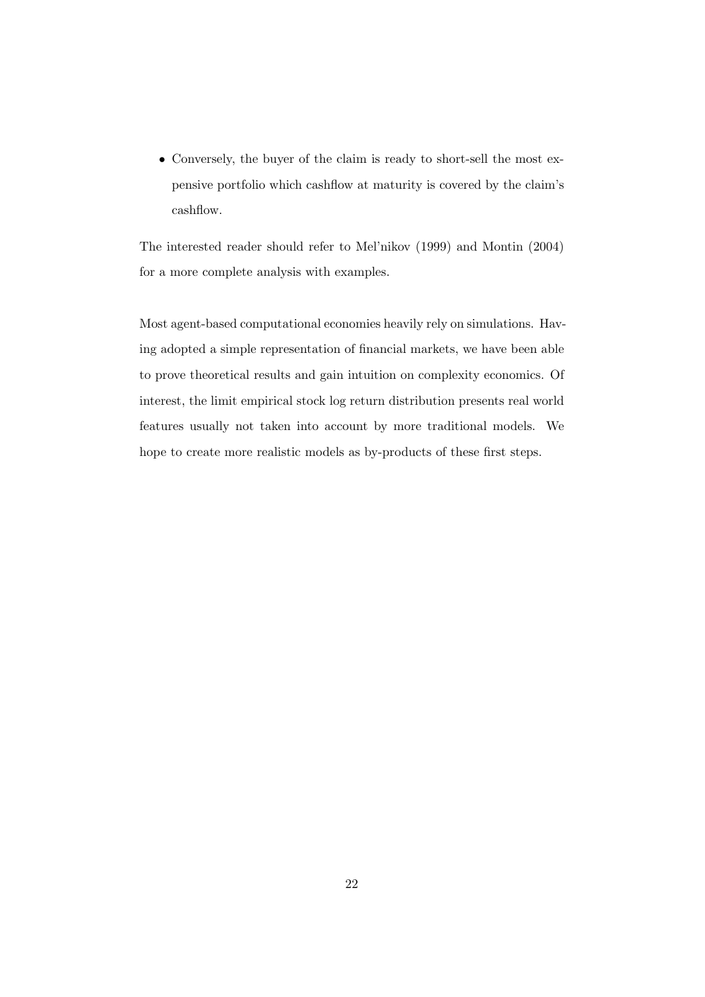• Conversely, the buyer of the claim is ready to short-sell the most expensive portfolio which cashflow at maturity is covered by the claim's cashflow.

The interested reader should refer to Mel'nikov (1999) and Montin (2004) for a more complete analysis with examples.

Most agent-based computational economies heavily rely on simulations. Having adopted a simple representation of financial markets, we have been able to prove theoretical results and gain intuition on complexity economics. Of interest, the limit empirical stock log return distribution presents real world features usually not taken into account by more traditional models. We hope to create more realistic models as by-products of these first steps.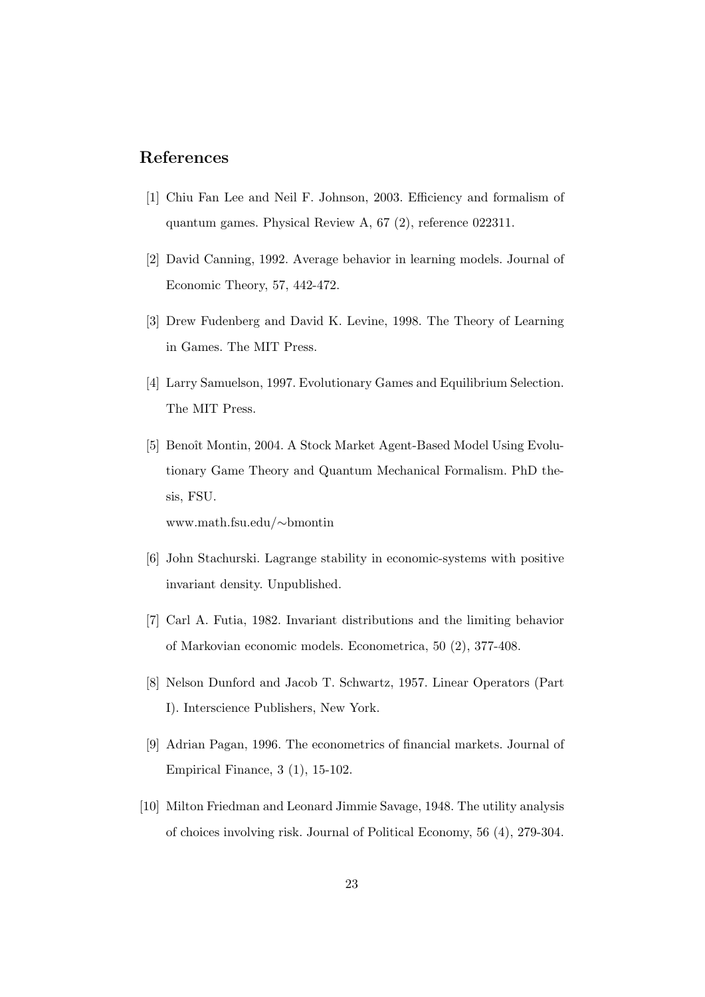## References

- [1] Chiu Fan Lee and Neil F. Johnson, 2003. Efficiency and formalism of quantum games. Physical Review A, 67 (2), reference 022311.
- [2] David Canning, 1992. Average behavior in learning models. Journal of Economic Theory, 57, 442-472.
- [3] Drew Fudenberg and David K. Levine, 1998. The Theory of Learning in Games. The MIT Press.
- [4] Larry Samuelson, 1997. Evolutionary Games and Equilibrium Selection. The MIT Press.
- [5] Benoît Montin, 2004. A Stock Market Agent-Based Model Using Evolutionary Game Theory and Quantum Mechanical Formalism. PhD thesis, FSU.

www.math.fsu.edu/∼bmontin

- [6] John Stachurski. Lagrange stability in economic-systems with positive invariant density. Unpublished.
- [7] Carl A. Futia, 1982. Invariant distributions and the limiting behavior of Markovian economic models. Econometrica, 50 (2), 377-408.
- [8] Nelson Dunford and Jacob T. Schwartz, 1957. Linear Operators (Part I). Interscience Publishers, New York.
- [9] Adrian Pagan, 1996. The econometrics of financial markets. Journal of Empirical Finance, 3 (1), 15-102.
- [10] Milton Friedman and Leonard Jimmie Savage, 1948. The utility analysis of choices involving risk. Journal of Political Economy, 56 (4), 279-304.